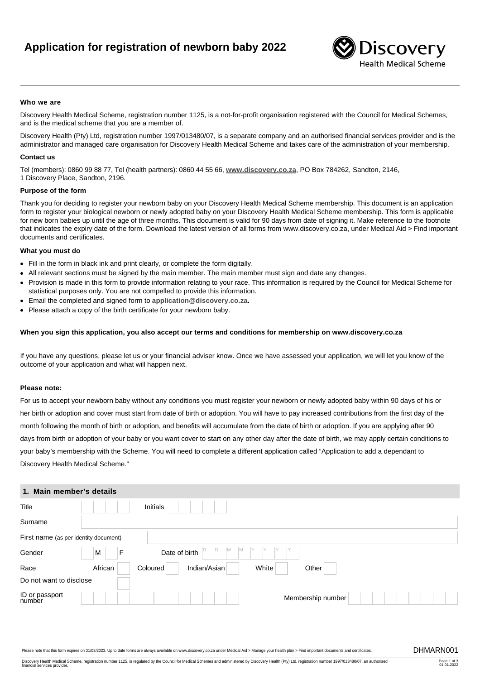# **Application for registration of newborn baby 2022**



#### **Who we are**

Discovery Health Medical Scheme, registration number 1125, is a not-for-profit organisation registered with the Council for Medical Schemes, and is the medical scheme that you are a member of.

Discovery Health (Pty) Ltd, registration number 1997/013480/07, is a separate company and an authorised financial services provider and is the administrator and managed care organisation for Discovery Health Medical Scheme and takes care of the administration of your membership.

#### **Contact us**

Tel (members): 0860 99 88 77, Tel (health partners): 0860 44 55 66, **[www.discovery.co.za](http://www.discovery.co.za)**, PO Box 784262, Sandton, 2146, 1 Discovery Place, Sandton, 2196.

#### **Purpose of the form**

Thank you for deciding to register your newborn baby on your Discovery Health Medical Scheme membership. This document is an application form to register your biological newborn or newly adopted baby on your Discovery Health Medical Scheme membership. This form is applicable for new born babies up until the age of three months. This document is valid for 90 days from date of signing it. Make reference to the footnote that indicates the expiry date of the form. Download the latest version of all forms from www.discovery.co.za, under Medical Aid > Find important documents and certificates.

#### **What you must do**

- Fill in the form in black ink and print clearly, or complete the form digitally.
- All relevant sections must be signed by the main member. The main member must sign and date any changes.
- Provision is made in this form to provide information relating to your race. This information is required by the Council for Medical Scheme for statistical purposes only. You are not compelled to provide this information.
- Email the completed and signed form to **[application@discovery.co.za](mailto:application@discovery.co.za).**
- Please attach a copy of the birth certificate for your newborn baby.

#### **When you sign this application, you also accept our terms and conditions for membership on www.discovery.co.za**

If you have any questions, please let us or your financial adviser know. Once we have assessed your application, we will let you know of the outcome of your application and what will happen next.

### **Please note:**

For us to accept your newborn baby without any conditions you must register your newborn or newly adopted baby within 90 days of his or her birth or adoption and cover must start from date of birth or adoption. You will have to pay increased contributions from the first day of the month following the month of birth or adoption, and benefits will accumulate from the date of birth or adoption. If you are applying after 90 days from birth or adoption of your baby or you want cover to start on any other day after the date of birth, we may apply certain conditions to your baby's membership with the Scheme. You will need to complete a different application called "Application to add a dependant to Discovery Health Medical Scheme."

# **1. Main member's details**

| Title                                 |         | Initials      |              |       |                   |  |  |
|---------------------------------------|---------|---------------|--------------|-------|-------------------|--|--|
| Surname                               |         |               |              |       |                   |  |  |
| First name (as per identity document) |         |               |              |       |                   |  |  |
| Gender                                | F<br>M  | Date of birth | M<br>ID<br>M |       |                   |  |  |
| Race                                  | African | Coloured      | Indian/Asian | White | Other             |  |  |
| Do not want to disclose               |         |               |              |       |                   |  |  |
| ID or passport<br>number              |         |               |              |       | Membership number |  |  |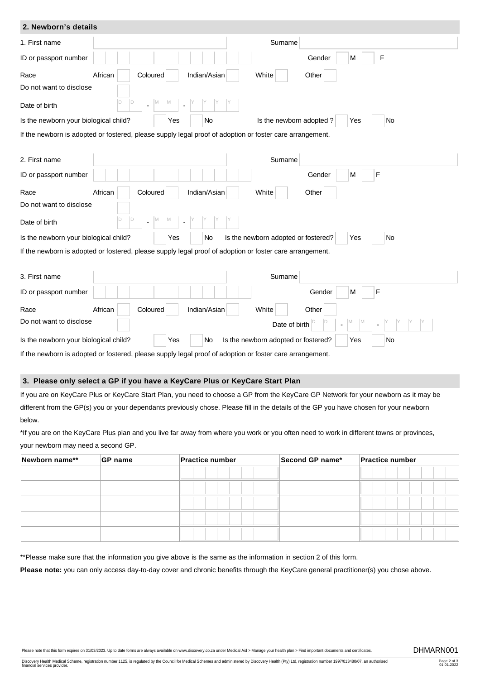| 2. Newborn's details                  |                                                                                                          |
|---------------------------------------|----------------------------------------------------------------------------------------------------------|
| 1. First name                         | Surname                                                                                                  |
| ID or passport number                 | $\mathsf F$<br>Gender<br>M                                                                               |
| Race                                  | African<br>Indian/Asian<br>White<br>Coloured<br>Other                                                    |
| Do not want to disclose               |                                                                                                          |
| Date of birth                         |                                                                                                          |
| Is the newborn your biological child? | Is the newborn adopted?<br><b>No</b><br>No<br>Yes<br>Yes                                                 |
|                                       | If the newborn is adopted or fostered, please supply legal proof of adoption or foster care arrangement. |
|                                       |                                                                                                          |
| 2. First name                         | Surname                                                                                                  |
| ID or passport number                 | F<br>Gender<br>M                                                                                         |
| Race                                  | African<br>Indian/Asian<br>White<br>Other<br>Coloured                                                    |
| Do not want to disclose               |                                                                                                          |
| Date of birth                         | M                                                                                                        |
| Is the newborn your biological child? | Is the newborn adopted or fostered?<br><b>No</b><br>No<br>Yes<br>Yes                                     |
|                                       | If the newborn is adopted or fostered, please supply legal proof of adoption or foster care arrangement. |
| 3. First name                         | Surname                                                                                                  |
| ID or passport number                 | F<br>Gender<br>M                                                                                         |
| Race                                  | African<br>Coloured<br>Indian/Asian<br>White<br>Other                                                    |
| Do not want to disclose               | Date of birth                                                                                            |
| Is the newborn your biological child? | Is the newborn adopted or fostered?<br>Yes<br>No<br>No<br>Yes                                            |
|                                       | If the newborn is adopted or fostered, please supply legal proof of adoption or foster care arrangement. |

# **3. Please only select a GP if you have a KeyCare Plus or KeyCare Start Plan**

If you are on KeyCare Plus or KeyCare Start Plan, you need to choose a GP from the KeyCare GP Network for your newborn as it may be different from the GP(s) you or your dependants previously chose. Please fill in the details of the GP you have chosen for your newborn below.

\*If you are on the KeyCare Plus plan and you live far away from where you work or you often need to work in different towns or provinces, your newborn may need a second GP.

| Newborn name** | GP name | <b>Practice number</b> | Second GP name* | <b>Practice number</b> |  |  |
|----------------|---------|------------------------|-----------------|------------------------|--|--|
|                |         |                        |                 |                        |  |  |
|                |         |                        |                 |                        |  |  |
|                |         |                        |                 |                        |  |  |
|                |         |                        |                 |                        |  |  |
|                |         |                        |                 |                        |  |  |

\*\*Please make sure that the information you give above is the same as the information in section 2 of this form.

Please note: you can only access day-to-day cover and chronic benefits through the KeyCare general practitioner(s) you chose above.